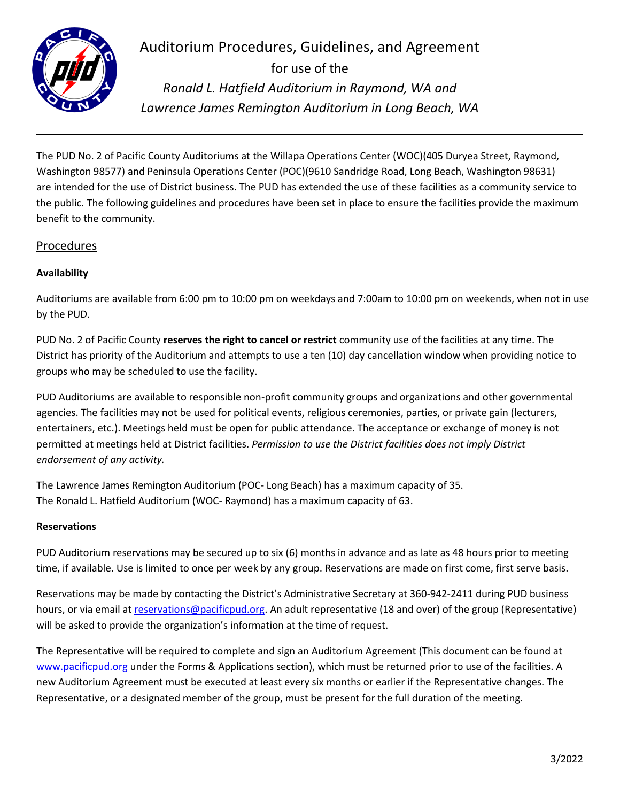

Auditorium Procedures, Guidelines, and Agreement for use of the *Ronald L. Hatfield Auditorium in Raymond, WA and Lawrence James Remington Auditorium in Long Beach, WA*

The PUD No. 2 of Pacific County Auditoriums at the Willapa Operations Center (WOC)(405 Duryea Street, Raymond, Washington 98577) and Peninsula Operations Center (POC)(9610 Sandridge Road, Long Beach, Washington 98631) are intended for the use of District business. The PUD has extended the use of these facilities as a community service to the public. The following guidelines and procedures have been set in place to ensure the facilities provide the maximum benefit to the community.

# Procedures

## **Availability**

Auditoriums are available from 6:00 pm to 10:00 pm on weekdays and 7:00am to 10:00 pm on weekends, when not in use by the PUD.

PUD No. 2 of Pacific County **reserves the right to cancel or restrict** community use of the facilities at any time. The District has priority of the Auditorium and attempts to use a ten (10) day cancellation window when providing notice to groups who may be scheduled to use the facility.

PUD Auditoriums are available to responsible non-profit community groups and organizations and other governmental agencies. The facilities may not be used for political events, religious ceremonies, parties, or private gain (lecturers, entertainers, etc.). Meetings held must be open for public attendance. The acceptance or exchange of money is not permitted at meetings held at District facilities. *Permission to use the District facilities does not imply District endorsement of any activity.* 

The Lawrence James Remington Auditorium (POC- Long Beach) has a maximum capacity of 35. The Ronald L. Hatfield Auditorium (WOC- Raymond) has a maximum capacity of 63.

#### **Reservations**

PUD Auditorium reservations may be secured up to six (6) months in advance and as late as 48 hours prior to meeting time, if available. Use is limited to once per week by any group. Reservations are made on first come, first serve basis.

Reservations may be made by contacting the District's Administrative Secretary at 360-942-2411 during PUD business hours, or via email a[t reservations@pacificpud.org.](mailto:reservations@pacificpud.org) An adult representative (18 and over) of the group (Representative) will be asked to provide the organization's information at the time of request.

The Representative will be required to complete and sign an Auditorium Agreement (This document can be found at [www.pacificpud.org](http://www.pacificpud.org/) under the Forms & Applications section), which must be returned prior to use of the facilities. A new Auditorium Agreement must be executed at least every six months or earlier if the Representative changes. The Representative, or a designated member of the group, must be present for the full duration of the meeting.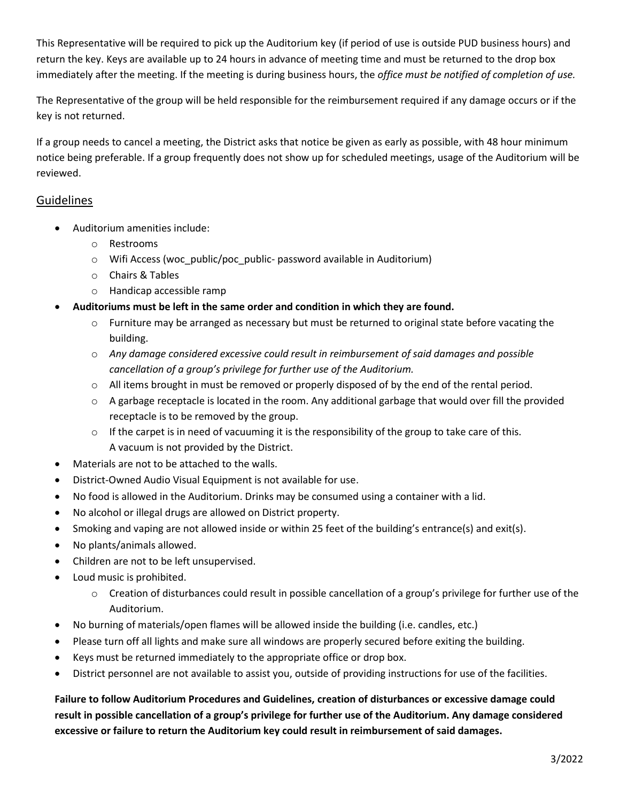This Representative will be required to pick up the Auditorium key (if period of use is outside PUD business hours) and return the key. Keys are available up to 24 hours in advance of meeting time and must be returned to the drop box immediately after the meeting. If the meeting is during business hours, the *office must be notified of completion of use.* 

The Representative of the group will be held responsible for the reimbursement required if any damage occurs or if the key is not returned.

If a group needs to cancel a meeting, the District asks that notice be given as early as possible, with 48 hour minimum notice being preferable. If a group frequently does not show up for scheduled meetings, usage of the Auditorium will be reviewed.

# **Guidelines**

- Auditorium amenities include:
	- o Restrooms
	- o Wifi Access (woc\_public/poc\_public- password available in Auditorium)
	- o Chairs & Tables
	- o Handicap accessible ramp
- **Auditoriums must be left in the same order and condition in which they are found.** 
	- $\circ$  Furniture may be arranged as necessary but must be returned to original state before vacating the building.
	- o *Any damage considered excessive could result in reimbursement of said damages and possible cancellation of a group's privilege for further use of the Auditorium.*
	- $\circ$  All items brought in must be removed or properly disposed of by the end of the rental period.
	- o A garbage receptacle is located in the room. Any additional garbage that would over fill the provided receptacle is to be removed by the group.
	- $\circ$  If the carpet is in need of vacuuming it is the responsibility of the group to take care of this. A vacuum is not provided by the District.
- Materials are not to be attached to the walls.
- District-Owned Audio Visual Equipment is not available for use.
- No food is allowed in the Auditorium. Drinks may be consumed using a container with a lid.
- No alcohol or illegal drugs are allowed on District property.
- Smoking and vaping are not allowed inside or within 25 feet of the building's entrance(s) and exit(s).
- No plants/animals allowed.
- Children are not to be left unsupervised.
- Loud music is prohibited.
	- $\circ$  Creation of disturbances could result in possible cancellation of a group's privilege for further use of the Auditorium.
- No burning of materials/open flames will be allowed inside the building (i.e. candles, etc.)
- Please turn off all lights and make sure all windows are properly secured before exiting the building.
- Keys must be returned immediately to the appropriate office or drop box.
- District personnel are not available to assist you, outside of providing instructions for use of the facilities.

**Failure to follow Auditorium Procedures and Guidelines, creation of disturbances or excessive damage could result in possible cancellation of a group's privilege for further use of the Auditorium. Any damage considered excessive or failure to return the Auditorium key could result in reimbursement of said damages.**